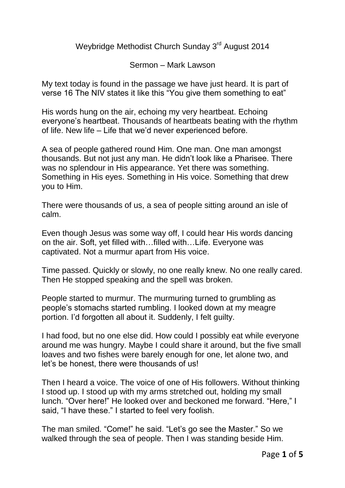Weybridge Methodist Church Sunday 3<sup>rd</sup> August 2014

Sermon – Mark Lawson

My text today is found in the passage we have just heard. It is part of verse 16 The NIV states it like this "You give them something to eat"

His words hung on the air, echoing my very heartbeat. Echoing everyone's heartbeat. Thousands of heartbeats beating with the rhythm of life. New life – Life that we'd never experienced before.

A sea of people gathered round Him. One man. One man amongst thousands. But not just any man. He didn't look like a Pharisee. There was no splendour in His appearance. Yet there was something. Something in His eyes. Something in His voice. Something that drew you to Him.

There were thousands of us, a sea of people sitting around an isle of calm.

Even though Jesus was some way off, I could hear His words dancing on the air. Soft, yet filled with…filled with…Life. Everyone was captivated. Not a murmur apart from His voice.

Time passed. Quickly or slowly, no one really knew. No one really cared. Then He stopped speaking and the spell was broken.

People started to murmur. The murmuring turned to grumbling as people's stomachs started rumbling. I looked down at my meagre portion. I'd forgotten all about it. Suddenly, I felt guilty.

I had food, but no one else did. How could I possibly eat while everyone around me was hungry. Maybe I could share it around, but the five small loaves and two fishes were barely enough for one, let alone two, and let's be honest, there were thousands of us!

Then I heard a voice. The voice of one of His followers. Without thinking I stood up. I stood up with my arms stretched out, holding my small lunch. "Over here!" He looked over and beckoned me forward. "Here," I said, "I have these." I started to feel very foolish.

The man smiled. "Come!" he said. "Let's go see the Master." So we walked through the sea of people. Then I was standing beside Him.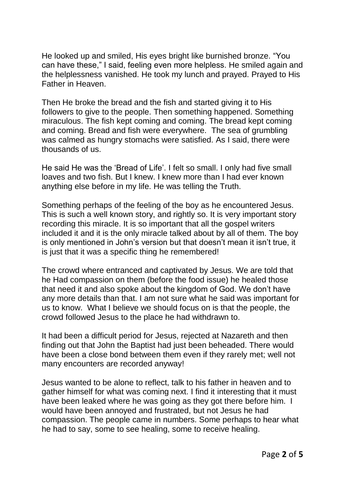He looked up and smiled, His eyes bright like burnished bronze. "You can have these," I said, feeling even more helpless. He smiled again and the helplessness vanished. He took my lunch and prayed. Prayed to His Father in Heaven.

Then He broke the bread and the fish and started giving it to His followers to give to the people. Then something happened. Something miraculous. The fish kept coming and coming. The bread kept coming and coming. Bread and fish were everywhere. The sea of grumbling was calmed as hungry stomachs were satisfied. As I said, there were thousands of us.

He said He was the 'Bread of Life'. I felt so small. I only had five small loaves and two fish. But I knew. I knew more than I had ever known anything else before in my life. He was telling the Truth.

Something perhaps of the feeling of the boy as he encountered Jesus. This is such a well known story, and rightly so. It is very important story recording this miracle. It is so important that all the gospel writers included it and it is the only miracle talked about by all of them. The boy is only mentioned in John's version but that doesn't mean it isn't true, it is just that it was a specific thing he remembered!

The crowd where entranced and captivated by Jesus. We are told that he Had compassion on them (before the food issue) he healed those that need it and also spoke about the kingdom of God. We don't have any more details than that. I am not sure what he said was important for us to know. What I believe we should focus on is that the people, the crowd followed Jesus to the place he had withdrawn to.

It had been a difficult period for Jesus, rejected at Nazareth and then finding out that John the Baptist had just been beheaded. There would have been a close bond between them even if they rarely met; well not many encounters are recorded anyway!

Jesus wanted to be alone to reflect, talk to his father in heaven and to gather himself for what was coming next. I find it interesting that it must have been leaked where he was going as they got there before him. I would have been annoyed and frustrated, but not Jesus he had compassion. The people came in numbers. Some perhaps to hear what he had to say, some to see healing, some to receive healing.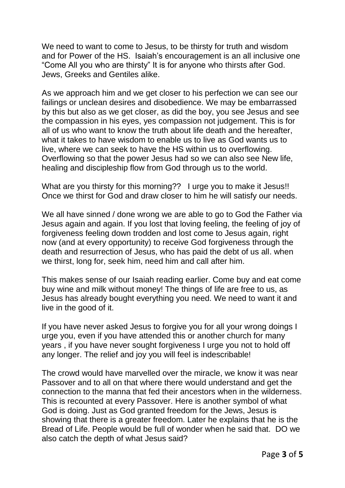We need to want to come to Jesus, to be thirsty for truth and wisdom and for Power of the HS. Isaiah's encouragement is an all inclusive one "Come All you who are thirsty" It is for anyone who thirsts after God. Jews, Greeks and Gentiles alike.

As we approach him and we get closer to his perfection we can see our failings or unclean desires and disobedience. We may be embarrassed by this but also as we get closer, as did the boy, you see Jesus and see the compassion in his eyes, yes compassion not judgement. This is for all of us who want to know the truth about life death and the hereafter, what it takes to have wisdom to enable us to live as God wants us to live, where we can seek to have the HS within us to overflowing. Overflowing so that the power Jesus had so we can also see New life, healing and discipleship flow from God through us to the world.

What are you thirsty for this morning?? I urge you to make it Jesus!! Once we thirst for God and draw closer to him he will satisfy our needs.

We all have sinned / done wrong we are able to go to God the Father via Jesus again and again. If you lost that loving feeling, the feeling of joy of forgiveness feeling down trodden and lost come to Jesus again, right now (and at every opportunity) to receive God forgiveness through the death and resurrection of Jesus, who has paid the debt of us all. when we thirst, long for, seek him, need him and call after him.

This makes sense of our Isaiah reading earlier. Come buy and eat come buy wine and milk without money! The things of life are free to us, as Jesus has already bought everything you need. We need to want it and live in the good of it.

If you have never asked Jesus to forgive you for all your wrong doings I urge you, even if you have attended this or another church for many years , if you have never sought forgiveness I urge you not to hold off any longer. The relief and joy you will feel is indescribable!

The crowd would have marvelled over the miracle, we know it was near Passover and to all on that where there would understand and get the connection to the manna that fed their ancestors when in the wilderness. This is recounted at every Passover. Here is another symbol of what God is doing. Just as God granted freedom for the Jews, Jesus is showing that there is a greater freedom. Later he explains that he is the Bread of Life. People would be full of wonder when he said that. DO we also catch the depth of what Jesus said?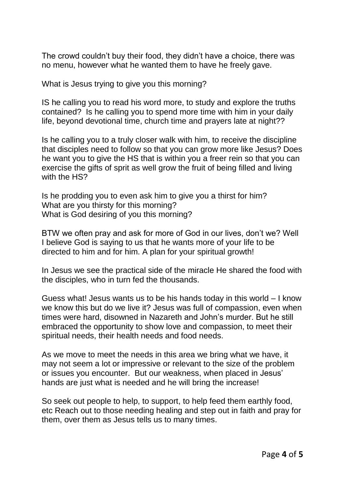The crowd couldn't buy their food, they didn't have a choice, there was no menu, however what he wanted them to have he freely gave.

What is Jesus trying to give you this morning?

IS he calling you to read his word more, to study and explore the truths contained? Is he calling you to spend more time with him in your daily life, beyond devotional time, church time and prayers late at night??

Is he calling you to a truly closer walk with him, to receive the discipline that disciples need to follow so that you can grow more like Jesus? Does he want you to give the HS that is within you a freer rein so that you can exercise the gifts of sprit as well grow the fruit of being filled and living with the HS?

Is he prodding you to even ask him to give you a thirst for him? What are you thirsty for this morning? What is God desiring of you this morning?

BTW we often pray and ask for more of God in our lives, don't we? Well I believe God is saying to us that he wants more of your life to be directed to him and for him. A plan for your spiritual growth!

In Jesus we see the practical side of the miracle He shared the food with the disciples, who in turn fed the thousands.

Guess what! Jesus wants us to be his hands today in this world – I know we know this but do we live it? Jesus was full of compassion, even when times were hard, disowned in Nazareth and John's murder. But he still embraced the opportunity to show love and compassion, to meet their spiritual needs, their health needs and food needs.

As we move to meet the needs in this area we bring what we have, it may not seem a lot or impressive or relevant to the size of the problem or issues you encounter. But our weakness, when placed in Jesus' hands are just what is needed and he will bring the increase!

So seek out people to help, to support, to help feed them earthly food, etc Reach out to those needing healing and step out in faith and pray for them, over them as Jesus tells us to many times.